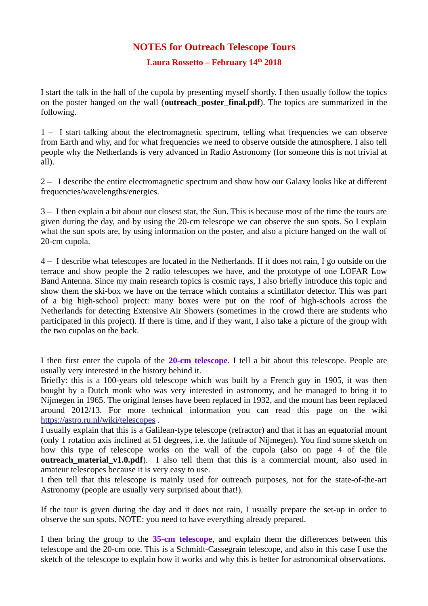## **NOTES for Outreach Telescope Tours**

## **Laura Rossetto – February 14th 2018**

I start the talk in the hall of the cupola by presenting myself shortly. I then usually follow the topics on the poster hanged on the wall (**outreach poster final.pdf**). The topics are summarized in the following.

1 – I start talking about the electromagnetic spectrum, telling what frequencies we can observe from Earth and why, and for what frequencies we need to observe outside the atmosphere. I also tell people why the Netherlands is very advanced in Radio Astronomy (for someone this is not trivial at all).

2 – I describe the entire electromagnetic spectrum and show how our Galaxy looks like at different frequencies/wavelengths/energies.

3 – I then explain a bit about our closest star, the Sun. This is because most of the time the tours are given during the day, and by using the 20-cm telescope we can observe the sun spots. So I explain what the sun spots are, by using information on the poster, and also a picture hanged on the wall of 20-cm cupola.

4 – I describe what telescopes are located in the Netherlands. If it does not rain, I go outside on the terrace and show people the 2 radio telescopes we have, and the prototype of one LOFAR Low Band Antenna. Since my main research topics is cosmic rays, I also briefly introduce this topic and show them the ski-box we have on the terrace which contains a scintillator detector. This was part of a big high-school project: many boxes were put on the roof of high-schools across the Netherlands for detecting Extensive Air Showers (sometimes in the crowd there are students who participated in this project). If there is time, and if they want, I also take a picture of the group with the two cupolas on the back.

I then first enter the cupola of the **20-cm telescope**. I tell a bit about this telescope. People are usually very interested in the history behind it.

Briefly: this is a 100-years old telescope which was built by a French guy in 1905, it was then bought by a Dutch monk who was very interested in astronomy, and he managed to bring it to Nijmegen in 1965. The original lenses have been replaced in 1932, and the mount has been replaced around 2012/13. For more technical information you can read this page on the wiki <https://astro.ru.nl/wiki/telescopes>.

I usually explain that this is a Galilean-type telescope (refractor) and that it has an equatorial mount (only 1 rotation axis inclined at 51 degrees, i.e. the latitude of Nijmegen). You find some sketch on how this type of telescope works on the wall of the cupola (also on page 4 of the file **outreach\_material\_v1.0.pdf**). I also tell them that this is a commercial mount, also used in amateur telescopes because it is very easy to use.

I then tell that this telescope is mainly used for outreach purposes, not for the state-of-the-art Astronomy (people are usually very surprised about that!).

If the tour is given during the day and it does not rain, I usually prepare the set-up in order to observe the sun spots. NOTE: you need to have everything already prepared.

I then bring the group to the **35-cm telescope**, and explain them the differences between this telescope and the 20-cm one. This is a Schmidt-Cassegrain telescope, and also in this case I use the sketch of the telescope to explain how it works and why this is better for astronomical observations.